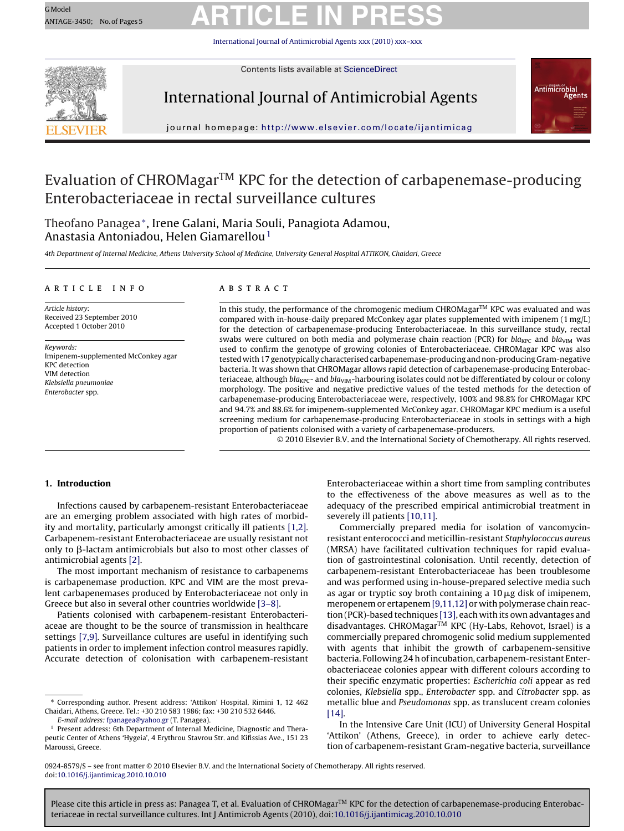## GMOdel GMOdel ARTICLE IN PRESS

[International Journal of Antimicrobial Agents](dx.doi.org/10.1016/j.ijantimicag.2010.10.010) xxx (2010) xxx–xxx



Contents lists available at [ScienceDirect](http://www.sciencedirect.com/science/journal/09248579)

### International Journal of Antimicrobial Agents



journal homepage: <http://www.elsevier.com/locate/ijantimicag>

### Evaluation of CHROMagarTM KPC for the detection of carbapenemase-producing Enterobacteriaceae in rectal surveillance cultures

Theofano Panagea∗, Irene Galani, Maria Souli, Panagiota Adamou, Anastasia Antoniadou, Helen Giamarellou<sup>1</sup>

4th Department of Internal Medicine, Athens University School of Medicine, University General Hospital ATTIKON, Chaidari, Greece

#### article info

Article history: Received 23 September 2010 Accepted 1 October 2010

Keywords: Imipenem-supplemented McConkey agar KPC detection VIM detection Klebsiella pneumoniae Enterobacter spp.

### ABSTRACT

In this study, the performance of the chromogenic medium CHROMagar $^{TM}$  KPC was evaluated and was compared with in-house-daily prepared McConkey agar plates supplemented with imipenem (1 mg/L) for the detection of carbapenemase-producing Enterobacteriaceae. In this surveillance study, rectal swabs were cultured on both media and polymerase chain reaction (PCR) for  $bla_{KPC}$  and  $bla_{VIM}$  was used to confirm the genotype of growing colonies of Enterobacteriaceae. CHROMagar KPC was also tested with 17 genotypically characterised carbapenemase-producing and non-producing Gram-negative bacteria. It was shown that CHROMagar allows rapid detection of carbapenemase-producing Enterobacteriaceae, although  $bla_{KPC}$ - and  $bla_{VIM}$ -harbouring isolates could not be differentiated by colour or colony morphology. The positive and negative predictive values of the tested methods for the detection of carbapenemase-producing Enterobacteriaceae were, respectively, 100% and 98.8% for CHROMagar KPC and 94.7% and 88.6% for imipenem-supplemented McConkey agar. CHROMagar KPC medium is a useful screening medium for carbapenemase-producing Enterobacteriaceae in stools in settings with a high proportion of patients colonised with a variety of carbapenemase-producers.

© 2010 Elsevier B.V. and the International Society of Chemotherapy. All rights reserved.

#### **1. Introduction**

Infections caused by carbapenem-resistant Enterobacteriaceae are an emerging problem associated with high rates of morbidity and mortality, particularly amongst critically ill patients [\[1,2\].](#page-4-0) Carbapenem-resistant Enterobacteriaceae are usually resistant not only to  $\beta$ -lactam antimicrobials but also to most other classes of antimicrobial agents [\[2\].](#page-4-0)

The most important mechanism of resistance to carbapenems is carbapenemase production. KPC and VIM are the most prevalent carbapenemases produced by Enterobacteriaceae not only in Greece but also in several other countries worldwide [\[3–8\].](#page-4-0)

Patients colonised with carbapenem-resistant Enterobacteriaceae are thought to be the source of transmission in healthcare settings [\[7,9\]. S](#page-4-0)urveillance cultures are useful in identifying such patients in order to implement infection control measures rapidly. Accurate detection of colonisation with carbapenem-resistant

E-mail address: [fpanagea@yahoo.gr](mailto:fpanagea@yahoo.gr) (T. Panagea).

Enterobacteriaceae within a short time from sampling contributes to the effectiveness of the above measures as well as to the adequacy of the prescribed empirical antimicrobial treatment in severely ill patients [\[10,11\].](#page-4-0)

Commercially prepared media for isolation of vancomycinresistant enterococci and meticillin-resistant Staphylococcus aureus (MRSA) have facilitated cultivation techniques for rapid evaluation of gastrointestinal colonisation. Until recently, detection of carbapenem-resistant Enterobacteriaceae has been troublesome and was performed using in-house-prepared selective media such as agar or tryptic soy broth containing a  $10 \mu$ g disk of imipenem, meropenem or ertapenem [\[9,11,12\]](#page-4-0) or with polymerase chain reaction (PCR)-based techniques [\[13\], e](#page-4-0)ach with its own advantages and disadvantages. CHROMagarTM KPC (Hy-Labs, Rehovot, Israel) is a commercially prepared chromogenic solid medium supplemented with agents that inhibit the growth of carbapenem-sensitive bacteria. Following 24 h of incubation, carbapenem-resistant Enterobacteriaceae colonies appear with different colours according to their specific enzymatic properties: Escherichia coli appear as red colonies, Klebsiella spp., Enterobacter spp. and Citrobacter spp. as metallic blue and Pseudomonas spp. as translucent cream colonies [\[14\].](#page-4-0)

In the Intensive Care Unit (ICU) of University General Hospital 'Attikon' (Athens, Greece), in order to achieve early detection of carbapenem-resistant Gram-negative bacteria, surveillance

0924-8579/\$ – see front matter © 2010 Elsevier B.V. and the International Society of Chemotherapy. All rights reserved. doi:[10.1016/j.ijantimicag.2010.10.010](dx.doi.org/10.1016/j.ijantimicag.2010.10.010)

<sup>∗</sup> Corresponding author. Present address: 'Attikon' Hospital, Rimini 1, 12 462 Chaidari, Athens, Greece. Tel.: +30 210 583 1986; fax: +30 210 532 6446.

<sup>&</sup>lt;sup>1</sup> Present address: 6th Department of Internal Medicine, Diagnostic and Therapeutic Center of Athens 'Hygeia', 4 Erythrou Stavrou Str. and Kifissias Ave., 151 23 Maroussi, Greece.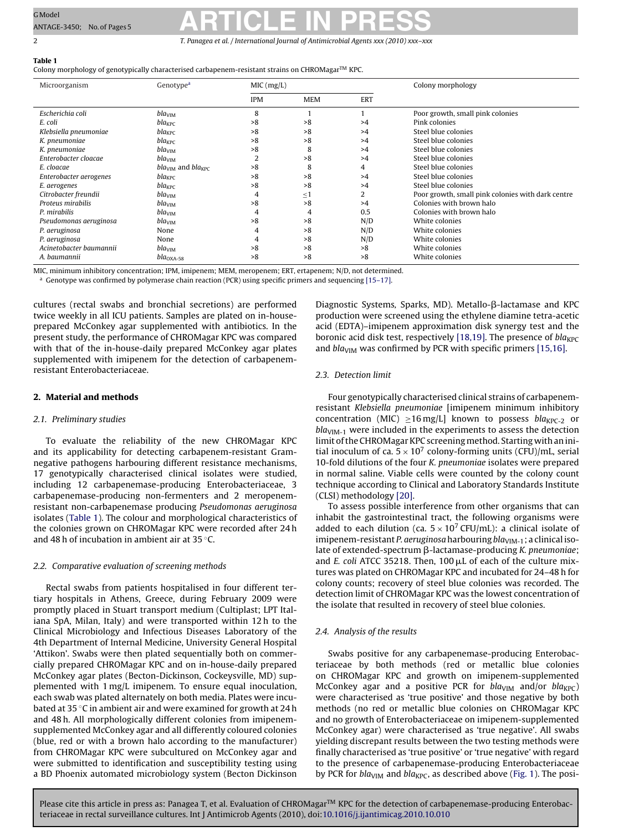## <span id="page-1-0"></span>GModel GMOdel **ARTICLE IN PRESS**

2 T. Panagea et al. / International Journal of Antimicrobial Agents *xxx (2010) xxx–xxx*

### **Table 1**

Colony morphology of genotypically characterised carbapenem-resistant strains on CHROMagar $^{TM}$  KPC.

| Microorganism           | Genotype <sup>a</sup>     | MIC (mg/L) |            |            | Colony morphology                                 |
|-------------------------|---------------------------|------------|------------|------------|---------------------------------------------------|
|                         |                           | <b>IPM</b> | <b>MEM</b> | <b>ERT</b> |                                                   |
| Escherichia coli        | bla <sub>VIM</sub>        | 8          |            |            | Poor growth, small pink colonies                  |
| E. coli                 | $bla_{KPC}$               | >8         | >8         | >4         | Pink colonies                                     |
| Klebsiella pneumoniae   | $bla_{KPC}$               | >8         | >8         | >4         | Steel blue colonies                               |
| K. pneumoniae           | $bla_{KPC}$               | >8         | >8         | >4         | Steel blue colonies                               |
| K. pneumoniae           | bla <sub>VIM</sub>        | >8         | 8          | >4         | Steel blue colonies                               |
| Enterobacter cloacae    | bla <sub>VIM</sub>        | 2          | >8         | >4         | Steel blue colonies                               |
| E. cloacae              | $blaVIM$ and $blaKPC$     | >8         | 8          | 4          | Steel blue colonies                               |
| Enterobacter aerogenes  | $bla_{KPC}$               | >8         | >8         | >4         | Steel blue colonies                               |
| E. aerogenes            | $bla_{KPC}$               | >8         | >8         | >4         | Steel blue colonies                               |
| Citrobacter freundii    | bla <sub>VIM</sub>        | 4          | $\leq 1$   |            | Poor growth, small pink colonies with dark centre |
| Proteus mirabilis       | $bla_\mathrm{VIM}$        | >8         | >8         | >4         | Colonies with brown halo                          |
| P. mirabilis            | bla <sub>VIM</sub>        | 4          | 4          | 0.5        | Colonies with brown halo                          |
| Pseudomonas aeruginosa  | bla <sub>VIM</sub>        | >8         | >8         | N/D        | White colonies                                    |
| P. aeruginosa           | None                      | 4          | >8         | N/D        | White colonies                                    |
| P. aeruginosa           | None                      | 4          | >8         | N/D        | White colonies                                    |
| Acinetobacter baumannii | bla <sub>VIM</sub>        | >8         | >8         | >8         | White colonies                                    |
| A. baumannii            | $bla_{\rm OXA\text{-}58}$ | >8         | >8         | >8         | White colonies                                    |

MIC, minimum inhibitory concentration; IPM, imipenem; MEM, meropenem; ERT, ertapenem; N/D, not determined.

<sup>a</sup> Genotype was confirmed by polymerase chain reaction (PCR) using specific primers and sequencing [\[15–17\].](#page-4-0)

cultures (rectal swabs and bronchial secretions) are performed twice weekly in all ICU patients. Samples are plated on in-houseprepared McConkey agar supplemented with antibiotics. In the present study, the performance of CHROMagar KPC was compared with that of the in-house-daily prepared McConkey agar plates supplemented with imipenem for the detection of carbapenemresistant Enterobacteriaceae.

### **2. Material and methods**

### 2.1. Preliminary studies

To evaluate the reliability of the new CHROMagar KPC and its applicability for detecting carbapenem-resistant Gramnegative pathogens harbouring different resistance mechanisms, 17 genotypically characterised clinical isolates were studied, including 12 carbapenemase-producing Enterobacteriaceae, 3 carbapenemase-producing non-fermenters and 2 meropenemresistant non-carbapenemase producing Pseudomonas aeruginosa isolates (Table 1). The colour and morphological characteristics of the colonies grown on CHROMagar KPC were recorded after 24 h and 48 h of incubation in ambient air at 35 ◦C.

### 2.2. Comparative evaluation of screening methods

Rectal swabs from patients hospitalised in four different tertiary hospitals in Athens, Greece, during February 2009 were promptly placed in Stuart transport medium (Cultiplast; LPT Italiana SpA, Milan, Italy) and were transported within 12 h to the Clinical Microbiology and Infectious Diseases Laboratory of the 4th Department of Internal Medicine, University General Hospital 'Attikon'. Swabs were then plated sequentially both on commercially prepared CHROMagar KPC and on in-house-daily prepared McConkey agar plates (Becton-Dickinson, Cockeysville, MD) supplemented with 1 mg/L imipenem. To ensure equal inoculation, each swab was plated alternately on both media. Plates were incubated at 35 ◦C in ambient air and were examined for growth at 24 h and 48 h. All morphologically different colonies from imipenemsupplemented McConkey agar and all differently coloured colonies (blue, red or with a brown halo according to the manufacturer) from CHROMagar KPC were subcultured on McConkey agar and were submitted to identification and susceptibility testing using a BD Phoenix automated microbiology system (Becton Dickinson Diagnostic Systems, Sparks, MD). Metallo-β-lactamase and KPC production were screened using the ethylene diamine tetra-acetic acid (EDTA)–imipenem approximation disk synergy test and the boronic acid disk test, respectively [\[18,19\]. T](#page-4-0)he presence of  $bla_{KPC}$ and bla<sub>VIM</sub> was confirmed by PCR with specific primers [\[15,16\].](#page-4-0)

### 2.3. Detection limit

Four genotypically characterised clinical strains of carbapenemresistant Klebsiella pneumoniae [imipenem minimum inhibitory concentration (MIC)  $\geq$ 16 mg/L] known to possess bla<sub>KPC-2</sub> or  $bla<sub>VIM-1</sub>$  were included in the experiments to assess the detection limit of the CHROMagar KPC screening method. Starting with an initial inoculum of ca.  $5 \times 10^7$  colony-forming units (CFU)/mL, serial 10-fold dilutions of the four K. pneumoniae isolates were prepared in normal saline. Viable cells were counted by the colony count technique according to Clinical and Laboratory Standards Institute (CLSI) methodology [\[20\].](#page-4-0)

To assess possible interference from other organisms that can inhabit the gastrointestinal tract, the following organisms were added to each dilution (ca.  $5 \times 10^7$  CFU/mL): a clinical isolate of imipenem-resistant P. aeruginosa harbouring  $bla<sub>VIM-1</sub>$ ; a clinical isolate of extended-spectrum β-lactamase-producing K. pneumoniαe; and E. coli ATCC 35218. Then,  $100 \mu$ L of each of the culture mixtures was plated on CHROMagar KPC and incubated for 24–48 h for colony counts; recovery of steel blue colonies was recorded. The detection limit of CHROMagar KPC was the lowest concentration of the isolate that resulted in recovery of steel blue colonies.

### 2.4. Analysis of the results

Swabs positive for any carbapenemase-producing Enterobacteriaceae by both methods (red or metallic blue colonies on CHROMagar KPC and growth on imipenem-supplemented McConkey agar and a positive PCR for  $bla<sub>VIM</sub>$  and/or  $bla<sub>KPC</sub>$ ) were characterised as 'true positive' and those negative by both methods (no red or metallic blue colonies on CHROMagar KPC and no growth of Enterobacteriaceae on imipenem-supplemented McConkey agar) were characterised as 'true negative'. All swabs yielding discrepant results between the two testing methods were finally characterised as 'true positive' or 'true negative' with regard to the presence of carbapenemase-producing Enterobacteriaceae by PCR for bla<sub>VIM</sub> and bla<sub>KPC</sub>, as described above [\(Fig. 1\).](#page-2-0) The posi-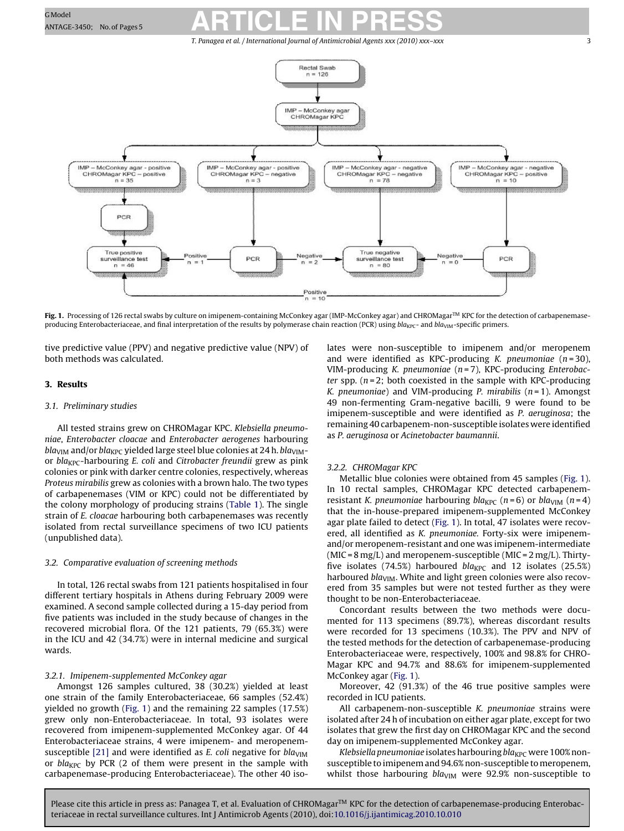### <span id="page-2-0"></span>GMOdel GMOdel **RARTICLE IN PRESS**

T. Panagea et al. / International Journal of Antimicrobial Agents *xxx (2010) xxx–xxx* 3



**Fig. 1.** Processing of 126 rectal swabs by culture on imipenem-containing McConkey agar (IMP-McConkey agar) and CHROMagar™ KPC for the detection of carbapenemaseproducing Enterobacteriaceae, and final interpretation of the results by polymerase chain reaction (PCR) using  $bla_{KPC}$ - and  $bla_{VIM}$ -specific primers.

tive predictive value (PPV) and negative predictive value (NPV) of both methods was calculated.

### **3. Results**

#### 3.1. Preliminary studies

All tested strains grew on CHROMagar KPC. Klebsiella pneumoniae, Enterobacter cloacae and Enterobacter aerogenes harbouring *bla*<sub>VIM</sub> and/or *bla<sub>KPC</sub>* yielded large steel blue colonies at 24 h. *bla*<sub>VIM</sub>or  $bla_{KPC}$ -harbouring E. coli and Citrobacter freundii grew as pink colonies or pink with darker centre colonies, respectively, whereas Proteus mirabilis grew as colonies with a brown halo. The two types of carbapenemases (VIM or KPC) could not be differentiated by the colony morphology of producing strains [\(Table 1\).](#page-1-0) The single strain of E. cloacae harbouring both carbapenemases was recently isolated from rectal surveillance specimens of two ICU patients (unpublished data).

### 3.2. Comparative evaluation of screening methods

In total, 126 rectal swabs from 121 patients hospitalised in four different tertiary hospitals in Athens during February 2009 were examined. A second sample collected during a 15-day period from five patients was included in the study because of changes in the recovered microbial flora. Of the 121 patients, 79 (65.3%) were in the ICU and 42 (34.7%) were in internal medicine and surgical wards.

### 3.2.1. Imipenem-supplemented McConkey agar

Amongst 126 samples cultured, 38 (30.2%) yielded at least one strain of the family Enterobacteriaceae, 66 samples (52.4%) yielded no growth (Fig. 1) and the remaining 22 samples (17.5%) grew only non-Enterobacteriaceae. In total, 93 isolates were recovered from imipenem-supplemented McConkey agar. Of 44 Enterobacteriaceae strains, 4 were imipenem- and meropenem-susceptible [\[21\]](#page-4-0) and were identified as E. coli negative for  $bla<sub>VIM</sub>$ or  $bla_{KPC}$  by PCR (2 of them were present in the sample with carbapenemase-producing Enterobacteriaceae). The other 40 isolates were non-susceptible to imipenem and/or meropenem and were identified as KPC-producing K. pneumoniae  $(n=30)$ , VIM-producing K. pneumoniae  $(n=7)$ , KPC-producing Enterobacter spp.  $(n=2;$  both coexisted in the sample with KPC-producing K. pneumoniae) and VIM-producing P. mirabilis  $(n=1)$ . Amongst 49 non-fermenting Gram-negative bacilli, 9 were found to be imipenem-susceptible and were identified as P. aeruginosa; the remaining 40 carbapenem-non-susceptible isolates were identified as P. aeruginosa or Acinetobacter baumannii.

### 3.2.2. CHROMagar KPC

Metallic blue colonies were obtained from 45 samples (Fig. 1). In 10 rectal samples, CHROMagar KPC detected carbapenemresistant K. pneumoniae harbouring bla<sub>KPC</sub> (n=6) or bla<sub>VIM</sub> (n=4) that the in-house-prepared imipenem-supplemented McConkey agar plate failed to detect (Fig. 1). In total, 47 isolates were recovered, all identified as K. pneumoniae. Forty-six were imipenemand/or meropenem-resistant and one was imipenem-intermediate (MIC =  $8 \text{ mg/L}$ ) and meropenem-susceptible (MIC =  $2 \text{ mg/L}$ ). Thirtyfive isolates (74.5%) harboured  $bla_{KPC}$  and 12 isolates (25.5%) harboured  $bla<sub>VIM</sub>$ . White and light green colonies were also recovered from 35 samples but were not tested further as they were thought to be non-Enterobacteriaceae.

Concordant results between the two methods were documented for 113 specimens (89.7%), whereas discordant results were recorded for 13 specimens (10.3%). The PPV and NPV of the tested methods for the detection of carbapenemase-producing Enterobacteriaceae were, respectively, 100% and 98.8% for CHRO-Magar KPC and 94.7% and 88.6% for imipenem-supplemented McConkey agar (Fig. 1).

Moreover, 42 (91.3%) of the 46 true positive samples were recorded in ICU patients.

All carbapenem-non-susceptible K. pneumoniae strains were isolated after 24 h of incubation on either agar plate, except for two isolates that grew the first day on CHROMagar KPC and the second day on imipenem-supplemented McConkey agar.

Klebsiella pneumoniae isolates harbouring bla<sub>KPC</sub> were 100% nonsusceptible to imipenem and 94.6% non-susceptible to meropenem, whilst those harbouring  $bla<sub>VIM</sub>$  were 92.9% non-susceptible to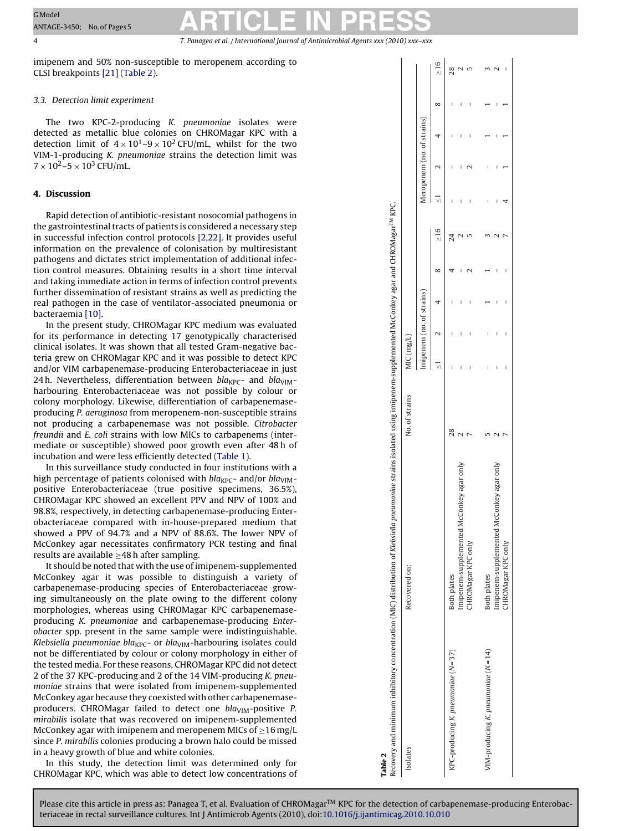# GModel GMOdel **ARTICLE IN PRESS**

4 T. Panagea et al. / International Journal of Antimicrobial Agents *xxx (2010) xxx–xxx*

imipenem and 50% non-susceptible to meropenem according to CLSI breakpoints [\[21\]](#page-4-0) (Table 2).

### 3.3. Detection limit experiment

The two KPC-2-producing K. pneumoniae isolates were detected as metallic blue colonies on CHROMagar KPC with a detection limit of  $4 \times 10^{1}$ –9 × 10<sup>2</sup> CFU/mL, whilst for the two VIM-1-producing K. pneumoniae strains the detection limit was  $7 \times 10^2 - 5 \times 10^3$  CFU/mL.

### **4. Discussion**

Rapid detection of antibiotic-resistant nosocomial pathogens in the gastrointestinal tracts of patients is considered a necessary step in successful infection control protocols [\[2,22\]. I](#page-4-0)t provides useful information on the prevalence of colonisation by multiresistant pathogens and dictates strict implementation of additional infection control measures. Obtaining results in a short time interval and taking immediate action in terms of infection control prevents further dissemination of resistant strains as well as predicting the real pathogen in the case of ventilator-associated pneumonia or bacteraemia [\[10\].](#page-4-0)

In the present study, CHROMagar KPC medium was evaluated for its performance in detecting 17 genotypically characterised clinical isolates. It was shown that all tested Gram-negative bacteria grew on CHROMagar KPC and it was possible to detect KPC and/or VIM carbapenemase-producing Enterobacteriaceae in just 24 h. Nevertheless, differentiation between  $bla_{KPC}$ - and  $bla_{VIM}$ harbouring Enterobacteriaceae was not possible by colour or colony morphology. Likewise, differentiation of carbapenemaseproducing P. aeruginosa from meropenem-non-susceptible strains not producing a carbapenemase was not possible. Citrobacter freundii and E. coli strains with low MICs to carbapenems (intermediate or susceptible) showed poor growth even after 48 h of incubation and were less efficiently detected [\(Table 1\).](#page-1-0)

In this surveillance study conducted in four institutions with a high percentage of patients colonised with  $bla_{\text{KPC}}$ - and/or  $bla_{\text{VIM}}$ positive Enterobacteriaceae (true positive specimens, 36.5%), CHROMagar KPC showed an excellent PPV and NPV of 100% and 98.8%, respectively, in detecting carbapenemase-producing Enterobacteriaceae compared with in-house-prepared medium that showed a PPV of 94.7% and a NPV of 88.6%. The lower NPV of McConkey agar necessitates confirmatory PCR testing and final results are available  $\geq$ 48 h after sampling.

It should be noted that with the use of imipenem-supplemented McConkey agar it was possible to distinguish a variety of carbapenemase-producing species of Enterobacteriaceae growing simultaneously on the plate owing to the different colony morphologies, whereas using CHROMagar KPC carbapenemaseproducing K. pneumoniae and carbapenemase-producing Enterobacter spp. present in the same sample were indistinguishable. Klebsiella pneumoniae bla<sub>KPC</sub>- or bla<sub>VIM</sub>-harbouring isolates could not be differentiated by colour or colony morphology in either of the tested media. For these reasons, CHROMagar KPC did not detect 2 of the 37 KPC-producing and 2 of the 14 VIM-producing K. pneumoniae strains that were isolated from imipenem-supplemented McConkey agar because they coexisted with other carbapenemaseproducers. CHROMagar failed to detect one  $bla<sub>VIM</sub>$ -positive P. mirabilis isolate that was recovered on imipenem-supplemented McConkey agar with imipenem and meropenem MICs of  $\geq$ 16 mg/L since P. mirabilis colonies producing a brown halo could be missed in a heavy growth of blue and white colonies.

In this study, the detection limit was determined only for CHROMagar KPC, which was able to detect low concentrations of

| Table 2                              | Recovery and minimum inhibitory concentration (MIC) distribution of Klebsiella pneumoniae strains isolated using imipenem-supplemented McConkey agar and CHROMagar <sup>7M</sup> KPC. |                |           |                           |   |           |   |                            |   |         |
|--------------------------------------|---------------------------------------------------------------------------------------------------------------------------------------------------------------------------------------|----------------|-----------|---------------------------|---|-----------|---|----------------------------|---|---------|
| Isolates                             | Recovered on:                                                                                                                                                                         | No. of strains | MIC(mglL) |                           |   |           |   |                            |   |         |
|                                      |                                                                                                                                                                                       |                |           | Imipenem (no. of strains) |   |           |   | Meropenem (no. of strains) |   |         |
|                                      |                                                                                                                                                                                       |                |           |                           | ∞ | $\geq 16$ |   |                            | ∞ | >16     |
| KPC-producing K. pneumoniae (N=37)   | Both plates                                                                                                                                                                           | 28             |           |                           |   |           |   |                            | I | $^{28}$ |
|                                      | Imipenem-supplemented McConkey agar only                                                                                                                                              |                | I         |                           |   |           | I |                            |   |         |
|                                      | <b>HROMagar KPC only</b>                                                                                                                                                              |                |           |                           |   |           |   |                            |   |         |
| VIM-producing K. pneumoniae $(N=14)$ | Both plates                                                                                                                                                                           |                |           |                           |   |           |   |                            |   |         |
|                                      | Imipenem-supplemented McConkey agar only                                                                                                                                              |                | I         |                           |   |           |   |                            |   |         |
|                                      | CHROMagar KPC only                                                                                                                                                                    |                |           |                           |   |           |   |                            |   |         |